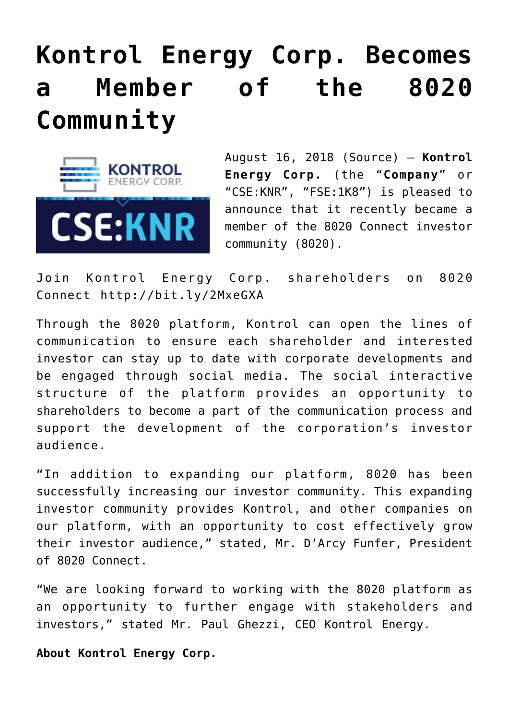## **[Kontrol Energy Corp. Becomes](https://investorintel.com/markets/technology/technology-news/kontrol-energy-corp-becomes-member-8020-community/) [a Member of the 8020](https://investorintel.com/markets/technology/technology-news/kontrol-energy-corp-becomes-member-8020-community/) [Community](https://investorintel.com/markets/technology/technology-news/kontrol-energy-corp-becomes-member-8020-community/)**



August 16, 2018 [\(Source\)](https://investorintel.com/iintel-members/kontrol-energy-corp/) — **Kontrol Energy Corp.** (the "**Company**" or "CSE:KNR", "FSE:1K8") is pleased to announce that it recently became a member of the 8020 Connect investor community (8020).

Join Kontrol Energy Corp. shareholders on 8020 Connect <http://bit.ly/2MxeGXA>

Through the 8020 platform, Kontrol can open the lines of communication to ensure each shareholder and interested investor can stay up to date with corporate developments and be engaged through social media. The social interactive structure of the platform provides an opportunity to shareholders to become a part of the communication process and support the development of the corporation's investor audience.

"In addition to expanding our platform, 8020 has been successfully increasing our investor community. This expanding investor community provides Kontrol, and other companies on our platform, with an opportunity to cost effectively grow their investor audience," stated, Mr. D'Arcy Funfer, President of 8020 Connect.

"We are looking forward to working with the 8020 platform as an opportunity to further engage with stakeholders and investors," stated Mr. Paul Ghezzi, CEO Kontrol Energy.

**About Kontrol Energy Corp.**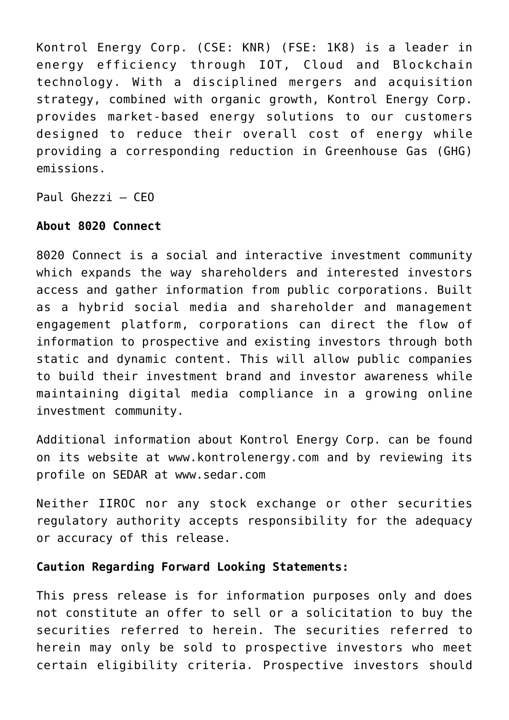Kontrol Energy Corp. (CSE: KNR) (FSE: 1K8) is a leader in energy efficiency through IOT, Cloud and Blockchain technology. With a disciplined mergers and acquisition strategy, combined with organic growth, Kontrol Energy Corp. provides market-based energy solutions to our customers designed to reduce their overall cost of energy while providing a corresponding reduction in Greenhouse Gas (GHG) emissions.

Paul Ghezzi – CEO

## **About 8020 Connect**

8020 Connect is a social and interactive investment community which expands the way shareholders and interested investors access and gather information from public corporations. Built as a hybrid social media and shareholder and management engagement platform, corporations can direct the flow of information to prospective and existing investors through both static and dynamic content. This will allow public companies to build their investment brand and investor awareness while maintaining digital media compliance in a growing online investment community.

Additional information about Kontrol Energy Corp. can be found on its website at [www.kontrolenergy.com](http://www.kontrolenergy.com/) and by reviewing its profile on SEDAR at [www.sedar.com](http://www.sedar.com/)

Neither IIROC nor any stock exchange or other securities regulatory authority accepts responsibility for the adequacy or accuracy of this release.

## **Caution Regarding Forward Looking Statements:**

This press release is for information purposes only and does not constitute an offer to sell or a solicitation to buy the securities referred to herein. The securities referred to herein may only be sold to prospective investors who meet certain eligibility criteria. Prospective investors should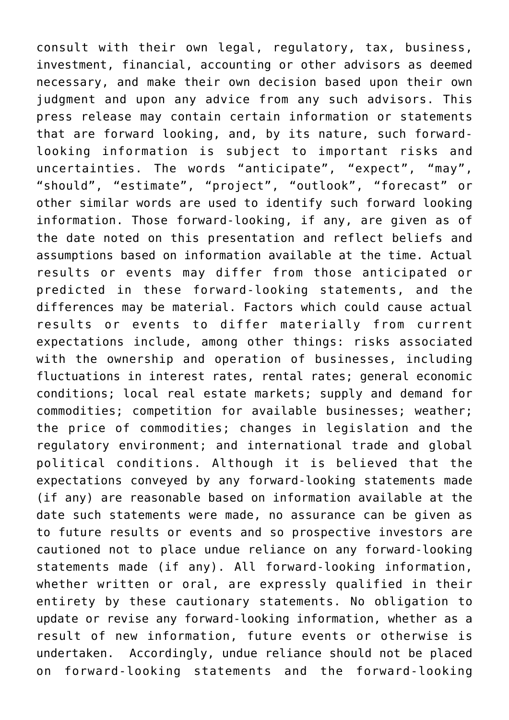consult with their own legal, regulatory, tax, business, investment, financial, accounting or other advisors as deemed necessary, and make their own decision based upon their own judgment and upon any advice from any such advisors. This press release may contain certain information or statements that are forward looking, and, by its nature, such forwardlooking information is subject to important risks and uncertainties. The words "anticipate", "expect", "may", "should", "estimate", "project", "outlook", "forecast" or other similar words are used to identify such forward looking information. Those forward-looking, if any, are given as of the date noted on this presentation and reflect beliefs and assumptions based on information available at the time. Actual results or events may differ from those anticipated or predicted in these forward-looking statements, and the differences may be material. Factors which could cause actual results or events to differ materially from current expectations include, among other things: risks associated with the ownership and operation of businesses, including fluctuations in interest rates, rental rates; general economic conditions; local real estate markets; supply and demand for commodities; competition for available businesses; weather; the price of commodities; changes in legislation and the regulatory environment; and international trade and global political conditions. Although it is believed that the expectations conveyed by any forward-looking statements made (if any) are reasonable based on information available at the date such statements were made, no assurance can be given as to future results or events and so prospective investors are cautioned not to place undue reliance on any forward-looking statements made (if any). All forward-looking information, whether written or oral, are expressly qualified in their entirety by these cautionary statements. No obligation to update or revise any forward-looking information, whether as a result of new information, future events or otherwise is undertaken. Accordingly, undue reliance should not be placed on forward-looking statements and the forward-looking